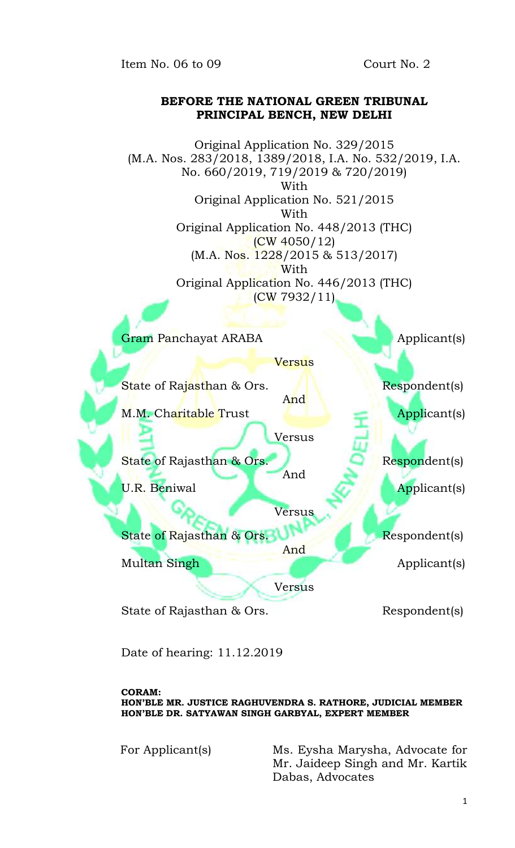Item No. 06 to 09 Court No. 2

## **BEFORE THE NATIONAL GREEN TRIBUNAL PRINCIPAL BENCH, NEW DELHI**



Date of hearing: 11.12.2019

**CORAM:**

**HON'BLE MR. JUSTICE RAGHUVENDRA S. RATHORE, JUDICIAL MEMBER HON'BLE DR. SATYAWAN SINGH GARBYAL, EXPERT MEMBER**

For Applicant(s) Ms. Eysha Marysha, Advocate for Mr. Jaideep Singh and Mr. Kartik Dabas, Advocates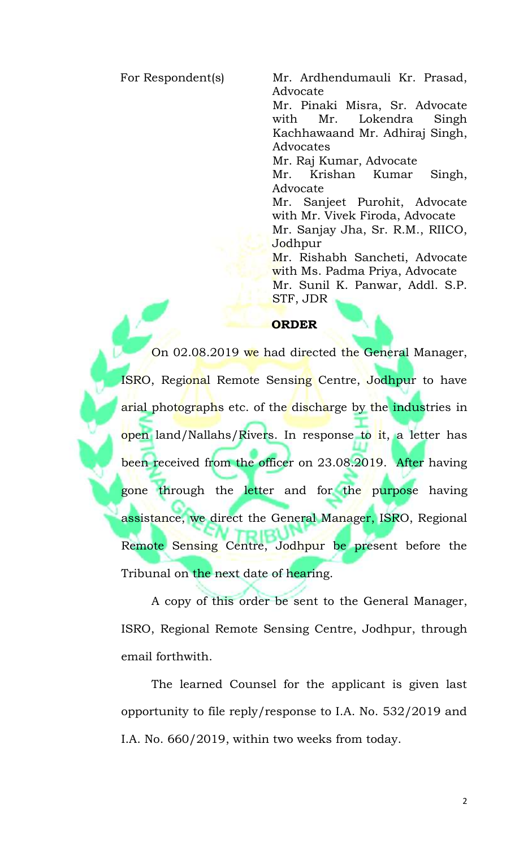For Respondent(s) Mr. Ardhendumauli Kr. Prasad, Advocate

> Mr. Pinaki Misra, Sr. Advocate with Mr. Lokendra Singh Kachhawaand Mr. Adhiraj Singh, Advocates

Mr. Raj Kumar, Advocate

Mr. Krishan Kumar Singh, Advocate

Mr. Sanjeet Purohit, Advocate with Mr. Vivek Firoda, Advocate Mr. Sanjay Jha, Sr. R.M., RIICO, Jodhpur

Mr. Rishabh Sancheti, Advocate with Ms. Padma Priya, Advocate Mr. Sunil K. Panwar, Addl. S.P. STF, JDR

## **ORDER**

On 02.08.2019 we had directed the General Manager, ISRO, Regional Remote Sensing Centre, Jodhpur to have arial photographs etc. of the discharge by the industries in open land/Nallahs/Rivers. In response to it, a letter has been received from the officer on 23.08.2019. After having gone through the letter and for the purpose having assistance, we direct the General Manager, ISRO, Regional Remote Sensing Centre, Jodhpur be present before the Tribunal on the next date of hearing.

A copy of this order be sent to the General Manager, ISRO, Regional Remote Sensing Centre, Jodhpur, through email forthwith.

The learned Counsel for the applicant is given last opportunity to file reply/response to I.A. No. 532/2019 and I.A. No. 660/2019, within two weeks from today.